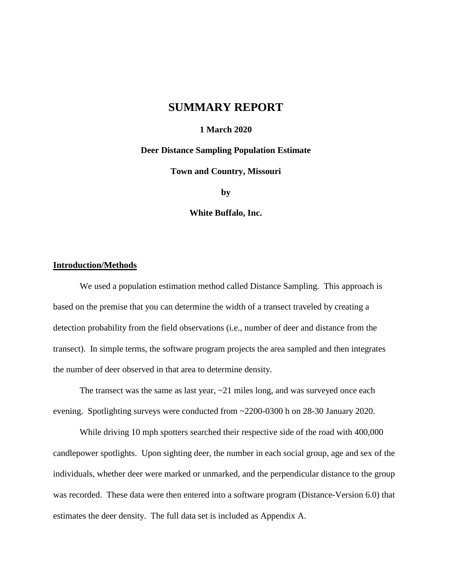# **SUMMARY REPORT**

## **1 March 2020**

### **Deer Distance Sampling Population Estimate**

**Town and Country, Missouri**

**by**

**White Buffalo, Inc.**

### **Introduction/Methods**

We used a population estimation method called Distance Sampling. This approach is based on the premise that you can determine the width of a transect traveled by creating a detection probability from the field observations (i.e., number of deer and distance from the transect). In simple terms, the software program projects the area sampled and then integrates the number of deer observed in that area to determine density.

The transect was the same as last year,  $\sim$ 21 miles long, and was surveyed once each evening. Spotlighting surveys were conducted from ~2200-0300 h on 28-30 January 2020.

While driving 10 mph spotters searched their respective side of the road with 400,000 candlepower spotlights. Upon sighting deer, the number in each social group, age and sex of the individuals, whether deer were marked or unmarked, and the perpendicular distance to the group was recorded. These data were then entered into a software program (Distance-Version 6.0) that estimates the deer density. The full data set is included as Appendix A.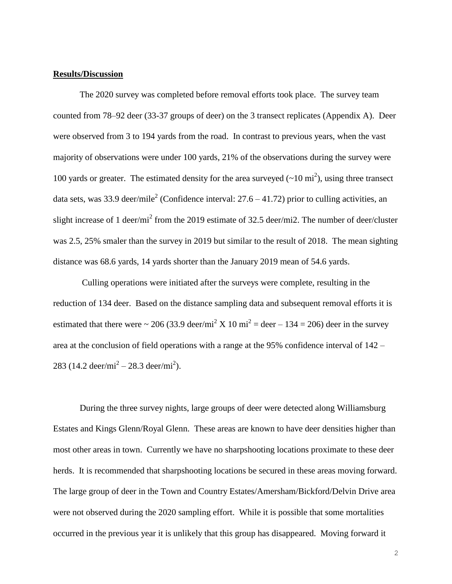#### **Results/Discussion**

The 2020 survey was completed before removal efforts took place. The survey team counted from 78–92 deer (33-37 groups of deer) on the 3 transect replicates (Appendix A). Deer were observed from 3 to 194 yards from the road. In contrast to previous years, when the vast majority of observations were under 100 yards, 21% of the observations during the survey were 100 yards or greater. The estimated density for the area surveyed  $(\sim 10 \text{ mi}^2)$ , using three transect data sets, was 33.9 deer/mile<sup>2</sup> (Confidence interval:  $27.6 - 41.72$ ) prior to culling activities, an slight increase of 1 deer/mi<sup>2</sup> from the 2019 estimate of 32.5 deer/mi2. The number of deer/cluster was 2.5, 25% smaler than the survey in 2019 but similar to the result of 2018. The mean sighting distance was 68.6 yards, 14 yards shorter than the January 2019 mean of 54.6 yards.

Culling operations were initiated after the surveys were complete, resulting in the reduction of 134 deer. Based on the distance sampling data and subsequent removal efforts it is estimated that there were  $\sim 206 (33.9 \text{ deer/min}^2 \text{ X } 10 \text{ mi}^2 = \text{deer} - 134 = 206)$  deer in the survey area at the conclusion of field operations with a range at the 95% confidence interval of 142 – 283 (14.2 deer/mi<sup>2</sup> – 28.3 deer/mi<sup>2</sup>).

During the three survey nights, large groups of deer were detected along Williamsburg Estates and Kings Glenn/Royal Glenn. These areas are known to have deer densities higher than most other areas in town. Currently we have no sharpshooting locations proximate to these deer herds. It is recommended that sharpshooting locations be secured in these areas moving forward. The large group of deer in the Town and Country Estates/Amersham/Bickford/Delvin Drive area were not observed during the 2020 sampling effort. While it is possible that some mortalities occurred in the previous year it is unlikely that this group has disappeared. Moving forward it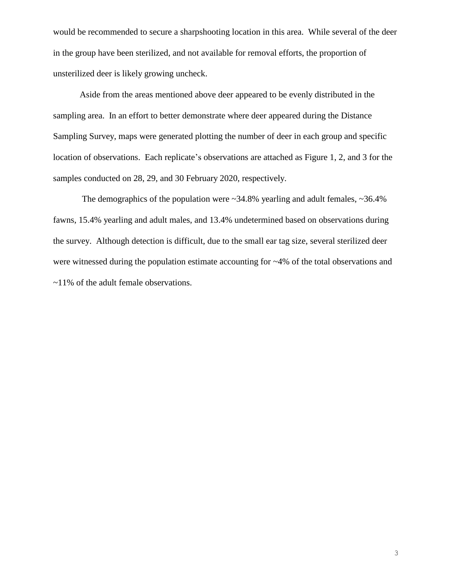would be recommended to secure a sharpshooting location in this area. While several of the deer in the group have been sterilized, and not available for removal efforts, the proportion of unsterilized deer is likely growing uncheck.

Aside from the areas mentioned above deer appeared to be evenly distributed in the sampling area. In an effort to better demonstrate where deer appeared during the Distance Sampling Survey, maps were generated plotting the number of deer in each group and specific location of observations. Each replicate's observations are attached as Figure 1, 2, and 3 for the samples conducted on 28, 29, and 30 February 2020, respectively.

The demographics of the population were  $\sim$ 34.8% yearling and adult females,  $\sim$ 36.4% fawns, 15.4% yearling and adult males, and 13.4% undetermined based on observations during the survey. Although detection is difficult, due to the small ear tag size, several sterilized deer were witnessed during the population estimate accounting for ~4% of the total observations and ~11% of the adult female observations.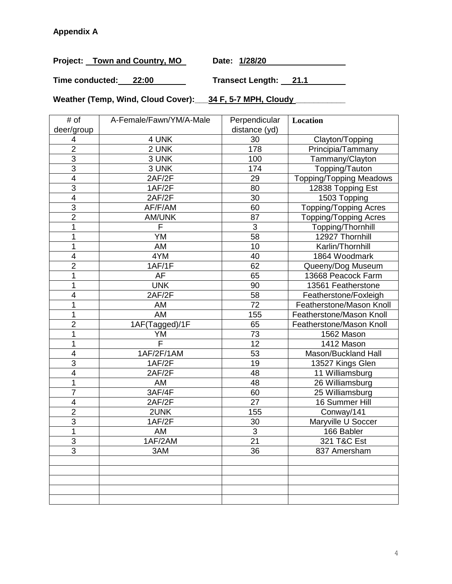Project: Town and Country, MO Date: 1/28/20

**Time conducted: 22:00 Transect Length: 21.1**

**Weather (Temp, Wind, Cloud Cover):\_\_\_34 F, 5-7 MPH, Cloudy \_\_\_\_\_\_\_\_\_\_\_**

| # of                     | A-Female/Fawn/YM/A-Male | Perpendicular   | Location                       |
|--------------------------|-------------------------|-----------------|--------------------------------|
| deer/group               |                         | distance (yd)   |                                |
| 4                        | 4 UNK                   | 30              | Clayton/Topping                |
| $\overline{2}$           | 2 UNK                   | 178             | Principia/Tammany              |
| $\overline{3}$           | 3 UNK                   | 100             | Tammany/Clayton                |
| 3                        | 3 UNK                   | 174             | Topping/Tauton                 |
| $\overline{\mathbf{4}}$  | 2AF/2F                  | 29              | <b>Topping/Topping Meadows</b> |
| 3                        | 1AF/2F                  | 80              | 12838 Topping Est              |
| $\overline{\mathcal{A}}$ | 2AF/2F                  | 30              | 1503 Topping                   |
| $\overline{3}$           | AF/F/AM                 | 60              | <b>Topping/Topping Acres</b>   |
| $\overline{2}$           | <b>AM/UNK</b>           | 87              | <b>Topping/Topping Acres</b>   |
| 1                        | F                       | 3               | Topping/Thornhill              |
| 1                        | YM                      | 58              | 12927 Thornhill                |
| 1                        | AM                      | 10              | Karlin/Thornhill               |
| $\overline{\mathcal{A}}$ | 4YM                     | 40              | 1864 Woodmark                  |
| $\overline{2}$           | 1AF/1F                  | 62              | Queeny/Dog Museum              |
| 1                        | AF                      | 65              | 13668 Peacock Farm             |
| 1                        | <b>UNK</b>              | 90              | 13561 Featherstone             |
| 4                        | 2AF/2F                  | 58              | Featherstone/Foxleigh          |
| 1                        | AM                      | $\overline{72}$ | Featherstone/Mason Knoll       |
| 1                        | AM                      | 155             | Featherstone/Mason Knoll       |
| $\overline{2}$           | 1AF(Tagged)/1F          | 65              | Featherstone/Mason Knoll       |
| 1                        | YM                      | 73              | 1562 Mason                     |
| 1                        | $\overline{\mathsf{F}}$ | 12              | 1412 Mason                     |
| 4                        | 1AF/2F/1AM              | 53              | Mason/Buckland Hall            |
| $\overline{3}$           | 1AF/2F                  | 19              | 13527 Kings Glen               |
| 4                        | 2AF/2F                  | 48              | 11 Williamsburg                |
| 1                        | AM                      | 48              | 26 Williamsburg                |
| 7                        | 3AF/4F                  | 60              | 25 Williamsburg                |
| 4                        | 2AF/2F                  | 27              | 16 Summer Hill                 |
| $\overline{2}$           | 2UNK                    | 155             | Conway/141                     |
| 3                        | 1AF/2F                  | 30              | Maryville U Soccer             |
| 1                        | AM                      | 3               | 166 Babler                     |
| 3                        | 1AF/2AM                 | 21              | 321 T&C Est                    |
| 3                        | 3AM                     | 36              | 837 Amersham                   |
|                          |                         |                 |                                |
|                          |                         |                 |                                |
|                          |                         |                 |                                |
|                          |                         |                 |                                |
|                          |                         |                 |                                |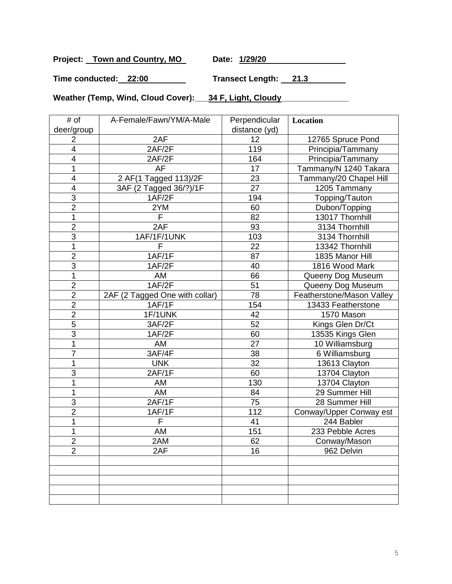Project: Town and Country, MO Date: 1/29/20

**Time conducted: 22:00 Transect Length: 21.3**

Weather (Temp, Wind, Cloud Cover): 34 F, Light, Cloudy Weather (Temp, Wind, Cloud

| # of                    | A-Female/Fawn/YM/A-Male        | Perpendicular | Location                  |
|-------------------------|--------------------------------|---------------|---------------------------|
| deer/group              |                                | distance (yd) |                           |
| 2                       | 2AF                            | 12            | 12765 Spruce Pond         |
| $\overline{\mathbf{4}}$ | 2AF/2F                         | 119           | Principia/Tammany         |
| $\overline{\mathbf{4}}$ | 2AF/2F                         | 164           | Principia/Tammany         |
| 1                       | AF                             | 17            | Tammany/N 1240 Takara     |
| 4                       | 2 AF(1 Tagged 113)/2F          | 23            | Tammany/20 Chapel Hill    |
| 4                       | 3AF (2 Tagged 36/?)/1F         | 27            | 1205 Tammany              |
| $\overline{3}$          | 1AF/2F                         | 194           | Topping/Tauton            |
| $\overline{2}$          | 2YM                            | 60            | Dubon/Topping             |
| 1                       | F                              | 82            | 13017 Thornhill           |
| $\overline{2}$          | 2AF                            | 93            | 3134 Thornhill            |
| 3                       | 1AF/1F/1UNK                    | 103           | 3134 Thornhill            |
| 1                       | F                              | 22            | 13342 Thornhill           |
| $\overline{2}$          | 1AF/1F                         | 87            | 1835 Manor Hill           |
| 3                       | 1AF/2F                         | 40            | 1816 Wood Mark            |
| 1                       | AM                             | 66            | Queeny Dog Museum         |
| $\overline{2}$          | 1AF/2F                         | 51            | Queeny Dog Museum         |
| $\overline{2}$          | 2AF (2 Tagged One with collar) | 78            | Featherstone/Mason Valley |
| $\overline{2}$          | 1AF/1F                         | 154           | 13433 Featherstone        |
| $\overline{2}$          | 1F/1UNK                        | 42            | 1570 Mason                |
| 5                       | 3AF/2F                         | 52            | Kings Glen Dr/Ct          |
| 3                       | 1AF/2F                         | 60            | 13535 Kings Glen          |
| 1                       | AM                             | 27            | 10 Williamsburg           |
| $\overline{7}$          | 3AF/4F                         | 38            | 6 Williamsburg            |
| 1                       | <b>UNK</b>                     | 32            | 13613 Clayton             |
| 3                       | 2AF/1F                         | 60            | 13704 Clayton             |
| 1                       | AM                             | 130           | 13704 Clayton             |
| 1                       | AM                             | 84            | 29 Summer Hill            |
| 3                       | 2AF/1F                         | 75            | 28 Summer Hill            |
| $\overline{2}$          | 1AF/1F                         | 112           | Conway/Upper Conway est   |
| 1                       | F                              | 41            | 244 Babler                |
| 1                       | AM                             | 151           | 233 Pebble Acres          |
| $\overline{2}$          | 2AM                            | 62            | Conway/Mason              |
| $\overline{2}$          | 2AF                            | 16            | 962 Delvin                |
|                         |                                |               |                           |
|                         |                                |               |                           |
|                         |                                |               |                           |
|                         |                                |               |                           |
|                         |                                |               |                           |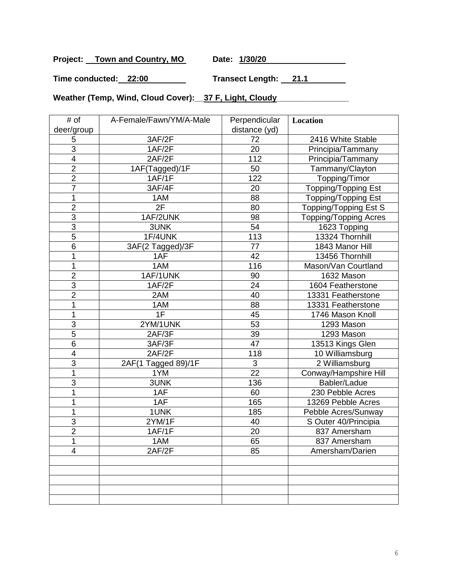**Project: Town and Country, MO Date: 1/30/20**

**Time conducted: 22:00 Transect Length: 21.1**

Weather (Temp, Wind, Cloud Cover): 37 F, Light, Cloudy Meather (Temp, Wind, Cloud

| # of                    | A-Female/Fawn/YM/A-Male | Perpendicular   | Location                     |
|-------------------------|-------------------------|-----------------|------------------------------|
| deer/group              |                         | distance (yd)   |                              |
| 5                       | 3AF/2F                  | 72              | 2416 White Stable            |
| $\overline{3}$          | 1AF/2F                  | $\overline{20}$ | Principia/Tammany            |
| $\overline{\mathbf{4}}$ | 2AF/2F                  | 112             | Principia/Tammany            |
| $\overline{2}$          | 1AF(Tagged)/1F          | 50              | Tammany/Clayton              |
| $\overline{2}$          | 1AF/1F                  | 122             | Topping/Timor                |
| $\overline{7}$          | 3AF/4F                  | 20              | <b>Topping/Topping Est</b>   |
| 1                       | 1AM                     | 88              | <b>Topping/Topping Est</b>   |
| $\overline{2}$          | 2F                      | 80              | Topping/Topping Est S        |
| $\overline{3}$          | 1AF/2UNK                | 98              | <b>Topping/Topping Acres</b> |
| 3                       | 3UNK                    | 54              | 1623 Topping                 |
| 5                       | 1F/4UNK                 | 113             | 13324 Thornhill              |
| $\overline{6}$          | 3AF(2 Tagged)/3F        | $\overline{77}$ | 1843 Manor Hill              |
| 1                       | 1AF                     | 42              | 13456 Thornhill              |
| 1                       | 1AM                     | 116             | Mason/Van Courtland          |
| $\overline{2}$          | 1AF/1UNK                | 90              | 1632 Mason                   |
| 3                       | 1AF/2F                  | 24              | 1604 Featherstone            |
| $\overline{2}$          | 2AM                     | 40              | 13331 Featherstone           |
| 1                       | 1AM                     | 88              | 13331 Featherstone           |
| 1                       | 1F                      | 45              | 1746 Mason Knoll             |
| 3                       | 2YM/1UNK                | 53              | 1293 Mason                   |
| 5                       | 2AF/3F                  | 39              | 1293 Mason                   |
| $\overline{6}$          | 3AF/3F                  | 47              | 13513 Kings Glen             |
| $\overline{\mathbf{4}}$ | 2AF/2F                  | 118             | 10 Williamsburg              |
| 3                       | 2AF(1 Tagged 89)/1F     | 3               | 2 Williamsburg               |
| 1                       | 1YM                     | 22              | Conway/Hampshire Hill        |
| 3                       | 3UNK                    | 136             | Babler/Ladue                 |
| 1                       | 1AF                     | 60              | 230 Pebble Acres             |
| 1                       | 1AF                     | 165             | 13269 Pebble Acres           |
| 1                       | 1UNK                    | 185             | Pebble Acres/Sunway          |
| 3                       | 2YM/1F                  | 40              | S Outer 40/Principia         |
| $\overline{2}$          | 1AF/1F                  | 20              | 837 Amersham                 |
| 1                       | 1AM                     | 65              | 837 Amersham                 |
| 4                       | 2AF/2F                  | 85              | Amersham/Darien              |
|                         |                         |                 |                              |
|                         |                         |                 |                              |
|                         |                         |                 |                              |
|                         |                         |                 |                              |
|                         |                         |                 |                              |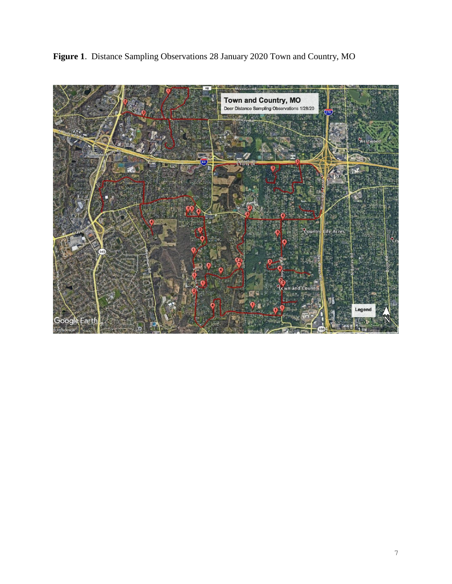**Figure 1**. Distance Sampling Observations 28 January 2020 Town and Country, MO

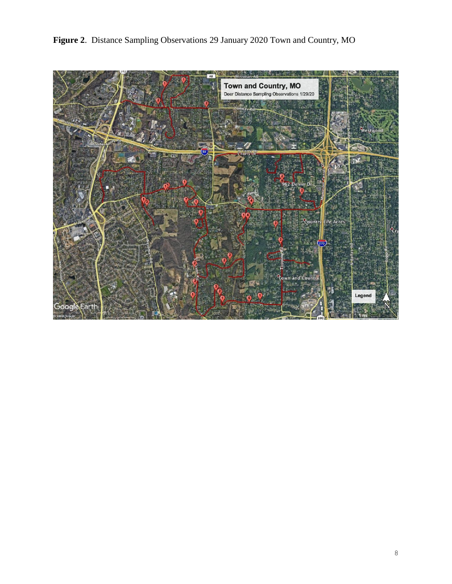